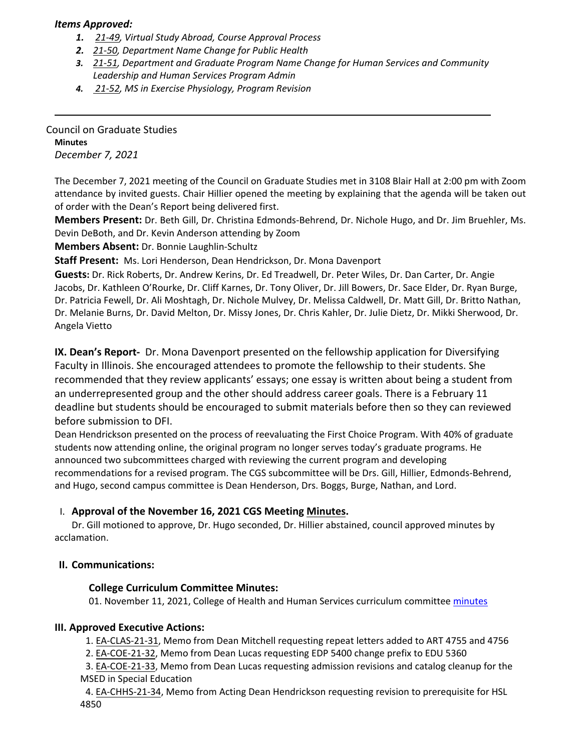### *Items Approved:*

- *1. 21‐[49,](https://castle.eiu.edu/eiucgs/currentagendaitems/agenda21-49.pdf) Virtual Study Abroad, Course Approval Process*
- *2. 21‐[50,](https://castle.eiu.edu/eiucgs/currentagendaitems/agenda21-50.pdf) Department Name Change for Public Health*
- *3. 21‐[51,](https://castle.eiu.edu/eiucgs/currentagendaitems/agenda21-51.pdf) Department and Graduate Program Name Change for Human Services and Community Leadership and Human Services Program Admin*
- *4. 21‐[52,](https://castle.eiu.edu/eiucgs/currentagendaitems/agenda21-52.pdf) MS in Exercise Physiology, Program Revision*

Council on Graduate Studies **Minutes** *December 7, 2021*

The December 7, 2021 meeting of the Council on Graduate Studies met in 3108 Blair Hall at 2:00 pm with Zoom attendance by invited guests. Chair Hillier opened the meeting by explaining that the agenda will be taken out of order with the Dean's Report being delivered first.

**Members Present:** Dr. Beth Gill, Dr. Christina Edmonds‐Behrend, Dr. Nichole Hugo, and Dr. Jim Bruehler, Ms. Devin DeBoth, and Dr. Kevin Anderson attending by Zoom

**Members Absent:** Dr. Bonnie Laughlin‐Schultz

**Staff Present:** Ms. Lori Henderson, Dean Hendrickson, Dr. Mona Davenport

**Guests:** Dr. Rick Roberts, Dr. Andrew Kerins, Dr. Ed Treadwell, Dr. Peter Wiles, Dr. Dan Carter, Dr. Angie Jacobs, Dr. Kathleen O'Rourke, Dr. Cliff Karnes, Dr. Tony Oliver, Dr. Jill Bowers, Dr. Sace Elder, Dr. Ryan Burge, Dr. Patricia Fewell, Dr. Ali Moshtagh, Dr. Nichole Mulvey, Dr. Melissa Caldwell, Dr. Matt Gill, Dr. Britto Nathan, Dr. Melanie Burns, Dr. David Melton, Dr. Missy Jones, Dr. Chris Kahler, Dr. Julie Dietz, Dr. Mikki Sherwood, Dr. Angela Vietto

**IX. Dean's Report‐**  Dr. Mona Davenport presented on the fellowship application for Diversifying Faculty in Illinois. She encouraged attendees to promote the fellowship to their students. She recommended that they review applicants' essays; one essay is written about being a student from an underrepresented group and the other should address career goals. There is a February 11 deadline but students should be encouraged to submit materials before then so they can reviewed before submission to DFI.

Dean Hendrickson presented on the process of reevaluating the First Choice Program. With 40% of graduate students now attending online, the original program no longer serves today's graduate programs. He announced two subcommittees charged with reviewing the current program and developing recommendations for a revised program. The CGS subcommittee will be Drs. Gill, Hillier, Edmonds‐Behrend, and Hugo, second campus committee is Dean Henderson, Drs. Boggs, Burge, Nathan, and Lord.

## I. **Approval of the November 16, 2021 CGS Meeting [Minutes.](https://castle.eiu.edu/eiucgs/currentminutes/Minutes11-16-21.pdf)**

Dr. Gill motioned to approve, Dr. Hugo seconded, Dr. Hillier abstained, council approved minutes by acclamation.

## **II. Communications:**

#### **College Curriculum Committee Minutes:**

01. November 11, 2021, College of Health and Human Services curriculum committee [minutes](https://pmaileiu-my.sharepoint.com/:w:/r/personal/jemmett_eiu_edu/_layouts/15/Doc.aspx?sourcedoc=%7B5629957A-4381-4BEE-A204-B862F8E9F3A1%7D&file=11-11-21%20CHHSCC%20Minutes.docx&action=default&mobileredirect=true)

#### **III. Approved Executive Actions:**

1. EA‐[CLAS](https://castle.eiu.edu/eiucgs/exec-actions/EA-CLAS-21-31.pdf)‐21‐31, Memo from Dean Mitchell requesting repeat letters added to ART 4755 and 4756

2. EA‐[COE](https://castle.eiu.edu/eiucgs/exec-actions/EA-COE-21-32.pdf)‐21‐32, Memo from Dean Lucas requesting EDP 5400 change prefix to EDU 5360

3. EA‐[COE](https://castle.eiu.edu/eiucgs/exec-actions/EA-COE-21-33.pdf)‐21‐33, Memo from Dean Lucas requesting admission revisions and catalog cleanup for the MSED in Special Education

4. EA‐[CHHS](https://castle.eiu.edu/eiucgs/exec-actions/EA-CHHS-21-34.pdf)‐21‐34, Memo from Acting Dean Hendrickson requesting revision to prerequisite for HSL 4850